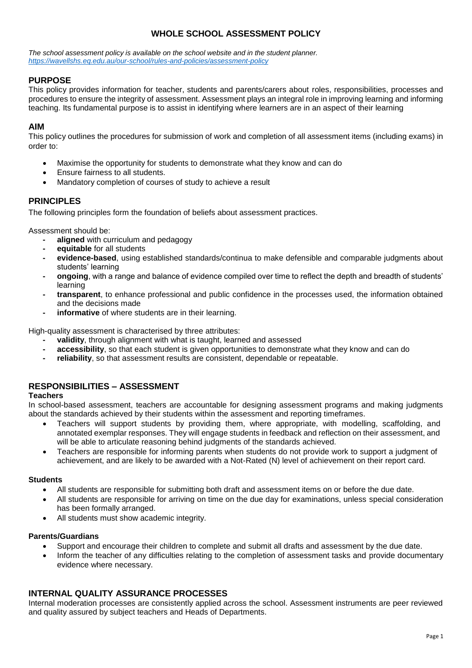# **WHOLE SCHOOL ASSESSMENT POLICY**

*The school assessment policy is available on the school website and in the student planner. <https://wavellshs.eq.edu.au/our-school/rules-and-policies/assessment-policy>*

# **PURPOSE**

This policy provides information for teacher, students and parents/carers about roles, responsibilities, processes and procedures to ensure the integrity of assessment. Assessment plays an integral role in improving learning and informing teaching. Its fundamental purpose is to assist in identifying where learners are in an aspect of their learning

# **AIM**

This policy outlines the procedures for submission of work and completion of all assessment items (including exams) in order to:

- Maximise the opportunity for students to demonstrate what they know and can do
- Ensure fairness to all students.
- Mandatory completion of courses of study to achieve a result

# **PRINCIPLES**

The following principles form the foundation of beliefs about assessment practices.

Assessment should be:

- **- aligned** with curriculum and pedagogy
- **- equitable** for all students
- **- evidence-based**, using established standards/continua to make defensible and comparable judgments about students' learning
- **- ongoing**, with a range and balance of evidence compiled over time to reflect the depth and breadth of students' learning
- **- transparent**, to enhance professional and public confidence in the processes used, the information obtained and the decisions made
- **informative** of where students are in their learning.

High-quality assessment is characterised by three attributes:

- **- validity**, through alignment with what is taught, learned and assessed
- **- accessibility**, so that each student is given opportunities to demonstrate what they know and can do
- **- reliability**, so that assessment results are consistent, dependable or repeatable.

# **RESPONSIBILITIES – ASSESSMENT**

# **Teachers**

In school-based assessment, teachers are accountable for designing assessment programs and making judgments about the standards achieved by their students within the assessment and reporting timeframes.

- Teachers will support students by providing them, where appropriate, with modelling, scaffolding, and annotated exemplar responses. They will engage students in feedback and reflection on their assessment, and will be able to articulate reasoning behind judgments of the standards achieved.
- Teachers are responsible for informing parents when students do not provide work to support a judgment of achievement, and are likely to be awarded with a Not-Rated (N) level of achievement on their report card.

# **Students**

- All students are responsible for submitting both draft and assessment items on or before the due date.
- All students are responsible for arriving on time on the due day for examinations, unless special consideration has been formally arranged.
- All students must show academic integrity.

# **Parents/Guardians**

- Support and encourage their children to complete and submit all drafts and assessment by the due date.
- Inform the teacher of any difficulties relating to the completion of assessment tasks and provide documentary evidence where necessary.

# **INTERNAL QUALITY ASSURANCE PROCESSES**

Internal moderation processes are consistently applied across the school. Assessment instruments are peer reviewed and quality assured by subject teachers and Heads of Departments.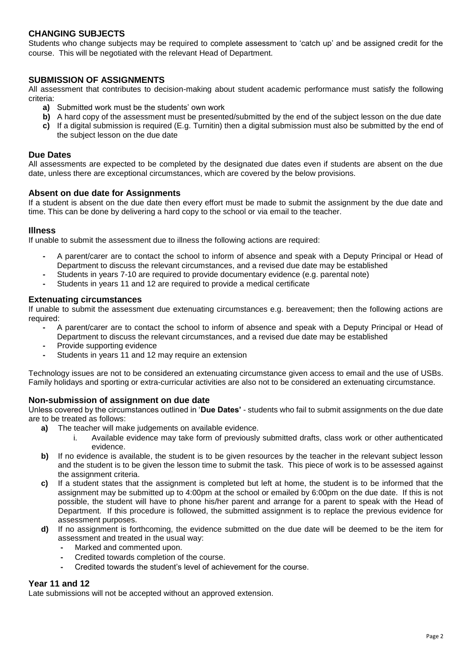# **CHANGING SUBJECTS**

Students who change subjects may be required to complete assessment to 'catch up' and be assigned credit for the course. This will be negotiated with the relevant Head of Department.

# **SUBMISSION OF ASSIGNMENTS**

All assessment that contributes to decision-making about student academic performance must satisfy the following criteria:

- **a)** Submitted work must be the students' own work
- **b)** A hard copy of the assessment must be presented/submitted by the end of the subject lesson on the due date
- **c)** If a digital submission is required (E.g. Turnitin) then a digital submission must also be submitted by the end of the subject lesson on the due date

### **Due Dates**

All assessments are expected to be completed by the designated due dates even if students are absent on the due date, unless there are exceptional circumstances, which are covered by the below provisions.

### **Absent on due date for Assignments**

If a student is absent on the due date then every effort must be made to submit the assignment by the due date and time. This can be done by delivering a hard copy to the school or via email to the teacher.

### **Illness**

If unable to submit the assessment due to illness the following actions are required:

- **-** A parent/carer are to contact the school to inform of absence and speak with a Deputy Principal or Head of Department to discuss the relevant circumstances, and a revised due date may be established
- **-** Students in years 7-10 are required to provide documentary evidence (e.g. parental note)
- **-** Students in years 11 and 12 are required to provide a medical certificate

### **Extenuating circumstances**

If unable to submit the assessment due extenuating circumstances e.g. bereavement; then the following actions are required:

- **-** A parent/carer are to contact the school to inform of absence and speak with a Deputy Principal or Head of Department to discuss the relevant circumstances, and a revised due date may be established
- **-** Provide supporting evidence
- **-** Students in years 11 and 12 may require an extension

Technology issues are not to be considered an extenuating circumstance given access to email and the use of USBs. Family holidays and sporting or extra-curricular activities are also not to be considered an extenuating circumstance.

# **Non-submission of assignment on due date**

Unless covered by the circumstances outlined in '**Due Dates'** - students who fail to submit assignments on the due date are to be treated as follows:

- **a)** The teacher will make judgements on available evidence.
	- i. Available evidence may take form of previously submitted drafts, class work or other authenticated evidence.
- **b)** If no evidence is available, the student is to be given resources by the teacher in the relevant subject lesson and the student is to be given the lesson time to submit the task. This piece of work is to be assessed against the assignment criteria.
- **c)** If a student states that the assignment is completed but left at home, the student is to be informed that the assignment may be submitted up to 4:00pm at the school or emailed by 6:00pm on the due date. If this is not possible, the student will have to phone his/her parent and arrange for a parent to speak with the Head of Department. If this procedure is followed, the submitted assignment is to replace the previous evidence for assessment purposes.
- **d)** If no assignment is forthcoming, the evidence submitted on the due date will be deemed to be the item for assessment and treated in the usual way:
	- **-** Marked and commented upon.
	- **-** Credited towards completion of the course.
	- **-** Credited towards the student's level of achievement for the course.

# **Year 11 and 12**

Late submissions will not be accepted without an approved extension.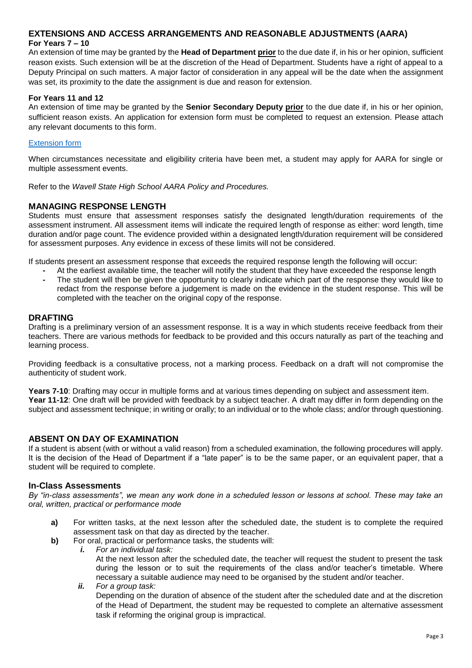# **EXTENSIONS AND ACCESS ARRANGEMENTS AND REASONABLE ADJUSTMENTS (AARA) For Years 7 – 10**

An extension of time may be granted by the **Head of Department prior** to the due date if, in his or her opinion, sufficient reason exists. Such extension will be at the discretion of the Head of Department. Students have a right of appeal to a Deputy Principal on such matters. A major factor of consideration in any appeal will be the date when the assignment was set, its proximity to the date the assignment is due and reason for extension.

### **For Years 11 and 12**

An extension of time may be granted by the **Senior Secondary Deputy prior** to the due date if, in his or her opinion, sufficient reason exists. An application for extension form must be completed to request an extension. Please attach any relevant documents to this form.

### [Extension form](file://///EQGBN2048001/Data/Coredata/Curriculum/Application%20for%20assessment%20extension.doc%20%20whole%20school.doc)

When circumstances necessitate and eligibility criteria have been met, a student may apply for AARA for single or multiple assessment events.

Refer to the *Wavell State High School AARA Policy and Procedures.*

# **MANAGING RESPONSE LENGTH**

Students must ensure that assessment responses satisfy the designated length/duration requirements of the assessment instrument. All assessment items will indicate the required length of response as either: word length, time duration and/or page count. The evidence provided within a designated length/duration requirement will be considered for assessment purposes. Any evidence in excess of these limits will not be considered.

If students present an assessment response that exceeds the required response length the following will occur:

**-** At the earliest available time, the teacher will notify the student that they have exceeded the response length **-** The student will then be given the opportunity to clearly indicate which part of the response they would like to redact from the response before a judgement is made on the evidence in the student response. This will be completed with the teacher on the original copy of the response.

### **DRAFTING**

Drafting is a preliminary version of an assessment response. It is a way in which students receive feedback from their teachers. There are various methods for feedback to be provided and this occurs naturally as part of the teaching and learning process.

Providing feedback is a consultative process, not a marking process. Feedback on a draft will not compromise the authenticity of student work.

**Years 7-10**: Drafting may occur in multiple forms and at various times depending on subject and assessment item. **Year 11-12**: One draft will be provided with feedback by a subject teacher. A draft may differ in form depending on the subject and assessment technique; in writing or orally; to an individual or to the whole class; and/or through questioning.

# **ABSENT ON DAY OF EXAMINATION**

If a student is absent (with or without a valid reason) from a scheduled examination, the following procedures will apply. It is the decision of the Head of Department if a "late paper" is to be the same paper, or an equivalent paper, that a student will be required to complete.

# **In-Class Assessments**

*By "in-class assessments", we mean any work done in a scheduled lesson or lessons at school. These may take an oral, written, practical or performance mode*

- **a)** For written tasks, at the next lesson after the scheduled date, the student is to complete the required assessment task on that day as directed by the teacher.
- **b)** For oral, practical or performance tasks, the students will:
	- *i. For an individual task:*

At the next lesson after the scheduled date, the teacher will request the student to present the task during the lesson or to suit the requirements of the class and/or teacher's timetable. Where necessary a suitable audience may need to be organised by the student and/or teacher.

*ii. For a group task:* 

Depending on the duration of absence of the student after the scheduled date and at the discretion of the Head of Department, the student may be requested to complete an alternative assessment task if reforming the original group is impractical.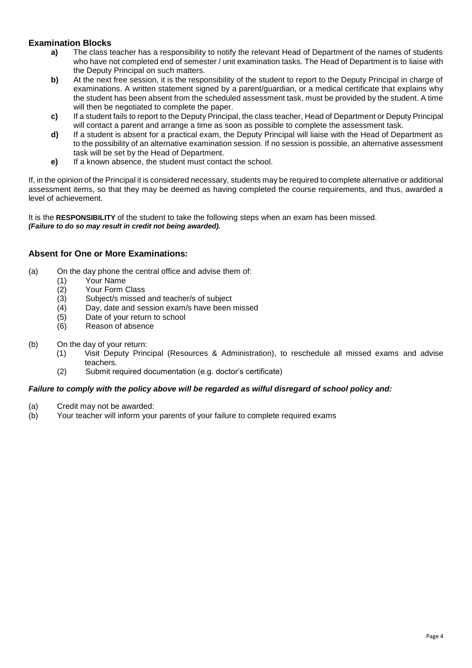# **Examination Blocks**

- **a)** The class teacher has a responsibility to notify the relevant Head of Department of the names of students who have not completed end of semester / unit examination tasks. The Head of Department is to liaise with the Deputy Principal on such matters.
- **b)** At the next free session, it is the responsibility of the student to report to the Deputy Principal in charge of examinations. A written statement signed by a parent/guardian, or a medical certificate that explains why the student has been absent from the scheduled assessment task, must be provided by the student. A time will then be negotiated to complete the paper.
- **c)** If a student fails to report to the Deputy Principal, the class teacher, Head of Department or Deputy Principal will contact a parent and arrange a time as soon as possible to complete the assessment task.
- **d)** If a student is absent for a practical exam, the Deputy Principal will liaise with the Head of Department as to the possibility of an alternative examination session. If no session is possible, an alternative assessment task will be set by the Head of Department.
- **e)** If a known absence, the student must contact the school.

If, in the opinion of the Principal it is considered necessary, students may be required to complete alternative or additional assessment items, so that they may be deemed as having completed the course requirements, and thus, awarded a level of achievement.

It is the **RESPONSIBILITY** of the student to take the following steps when an exam has been missed. *(Failure to do so may result in credit not being awarded).*

# **Absent for One or More Examinations:**

- (a) On the day phone the central office and advise them of:
	- (1) Your Name
	- (2) Your Form Class<br>(3) Subject/s missed
	- Subject/s missed and teacher/s of subject
	- (4) Day, date and session exam/s have been missed
	- (5) Date of your return to school
	- (6) Reason of absence
- (b) On the day of your return:
	- (1) Visit Deputy Principal (Resources & Administration), to reschedule all missed exams and advise teachers.
	- (2) Submit required documentation (e.g. doctor's certificate)

# *Failure to comply with the policy above will be regarded as wilful disregard of school policy and:*

- (a) Credit may not be awarded:
- (b) Your teacher will inform your parents of your failure to complete required exams